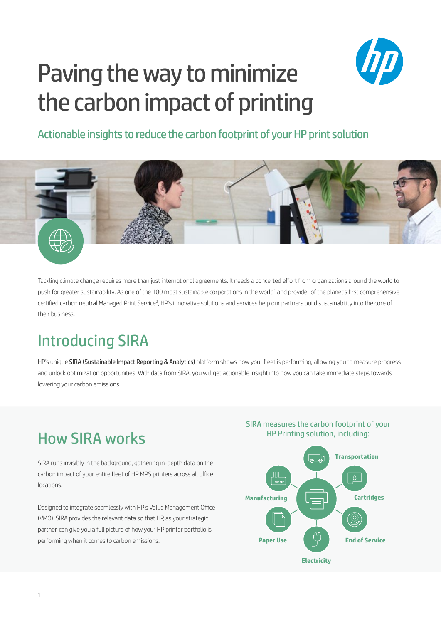# Paving the way to minimize the carbon impact of printing



#### Actionable insights to reduce the carbon footprint of your HP print solution



Tackling climate change requires more than just international agreements. It needs a concerted effort from organizations around the world to push for greater sustainability. As one of the 100 most sustainable corporations in the world<sup>1</sup> and provider of the planet's first comprehensive certified carbon neutral Managed Print Service<sup>2</sup>, HP's innovative solutions and services help our partners build sustainability into the core of their business.

## Introducing SIRA

HP's unique SIRA (Sustainable Impact Reporting & Analytics) platform shows how your fleet is performing, allowing you to measure progress and unlock optimization opportunities. With data from SIRA, you will get actionable insight into how you can take immediate steps towards lowering your carbon emissions.

#### How SIRA works

SIRA runs invisibly in the background, gathering in-depth data on the carbon impact of your entire fleet of HP MPS printers across all office locations.

Designed to integrate seamlessly with HP's Value Management Office (VMO), SIRA provides the relevant data so that HP, as your strategic partner, can give you a full picture of how your HP printer portfolio is performing when it comes to carbon emissions.

SIRA measures the carbon footprint of your HP Printing solution, including: